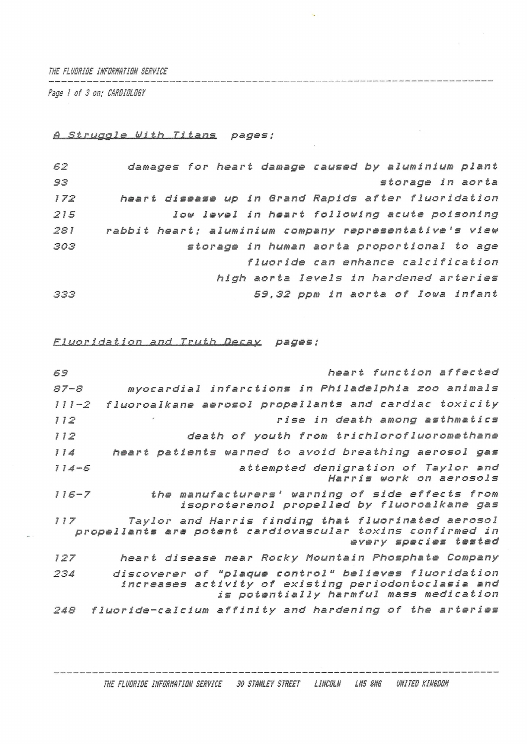*THE FLUORIDE INFORMATION SERVICE*

*Rags I of 3 on; CARDIOLOGY*

# *<sup>A</sup> Struggle With Titans pages;*

| 62  | damages for heart damage caused by aluminium plant    |
|-----|-------------------------------------------------------|
| 93  | storage in aorta                                      |
| 172 | heart disease up in Grand Rapids after fluoridation   |
| 215 | low level in heart following acute poisoning          |
| 281 | rabbit heart; aluminium company representative's view |
| 303 | storage in human aorta proportional to age            |
|     | fluoride can enhance calcification                    |
|     | high aorta levels in hardened arteries                |
| 333 | 59,32 ppm in aorta of Iowa infant                     |
|     |                                                       |

*ELlMPJ2idat ion and Truth .D.ssay pages;*

| 69        | heart function affected                                                                                                                               |
|-----------|-------------------------------------------------------------------------------------------------------------------------------------------------------|
| $87 - 8$  | myocardial infarctions in Philadelphia zoo animals                                                                                                    |
| $111 - 2$ | fluoroalkane aerosol propellants and cardiac toxicity                                                                                                 |
| 112       | rise in death among asthmatics                                                                                                                        |
| 112       | death of youth from trichlorofluoromethane                                                                                                            |
| 114       | heart patients warned to avoid breathing aerosol gas                                                                                                  |
| $114 - 6$ | attempted denigration of Taylor and<br>Harris work on aerosols                                                                                        |
| $116 - 7$ | the manufacturers' warning of side effects from<br>isoproterenol propelled by fluoroalkane gas                                                        |
| 117       | Taylor and Harris finding that fluorinated aerosol<br>propellants are potent cardiovascular toxins confirmed in<br>every species tested               |
| 127       | heart disease near Rocky Mountain Phosphate Company                                                                                                   |
| 234       | discoverer of "plaque control" believes fluoridation<br>increases activity of existing periodontoclasia and<br>is potentially harmful mass medication |
| 248       | fluoride-calcium affinity and hardening of the arteries                                                                                               |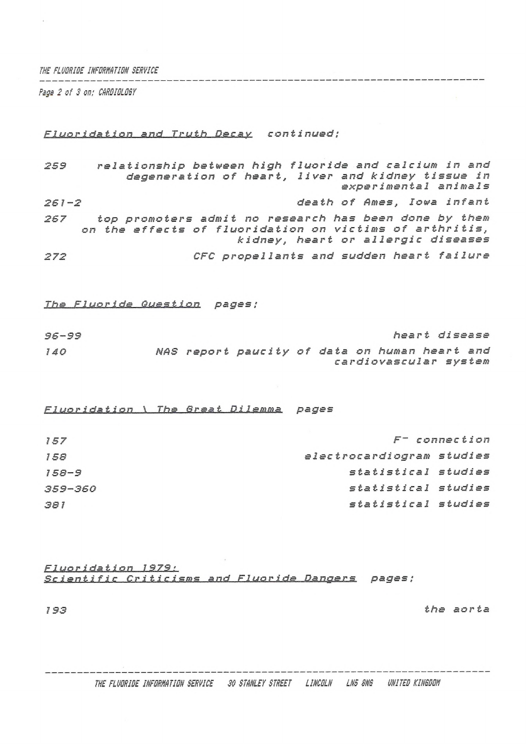THE FLUDRIDE INFORMATION SERVICE

Page 2 of 3 on; CARDIDLOGY

 $261 - 2$ 

### Fluoridation and Truth Decay continued:

relationship between high fluoride and calcium in and 259 degeneration of heart, liver and kidney tissue in experimental animals

death of Ames, Iowa infant

top promoters admit no research has been done by them 267 on the effects of fluoridation on victims of arthritis, kidney, heart or allergic diseases

CFC propellants and sudden heart failure 272

#### The Fluoride Question pages;

heart disease  $96 - 99$ NAS report paucity of data on human heart and  $140$ cardiovascular system

Fluoridation \ The Great Dilemma pages

| 157       | $F^-$ connection          |  |
|-----------|---------------------------|--|
| 158       | electrocardiogram studies |  |
| $158 - 9$ | statistical studies       |  |
| 359-360   | statistical studies       |  |
| 381       | statistical studies       |  |

## Fluoridation 1979: Scientific Criticisms and Fluoride Dangers pages: